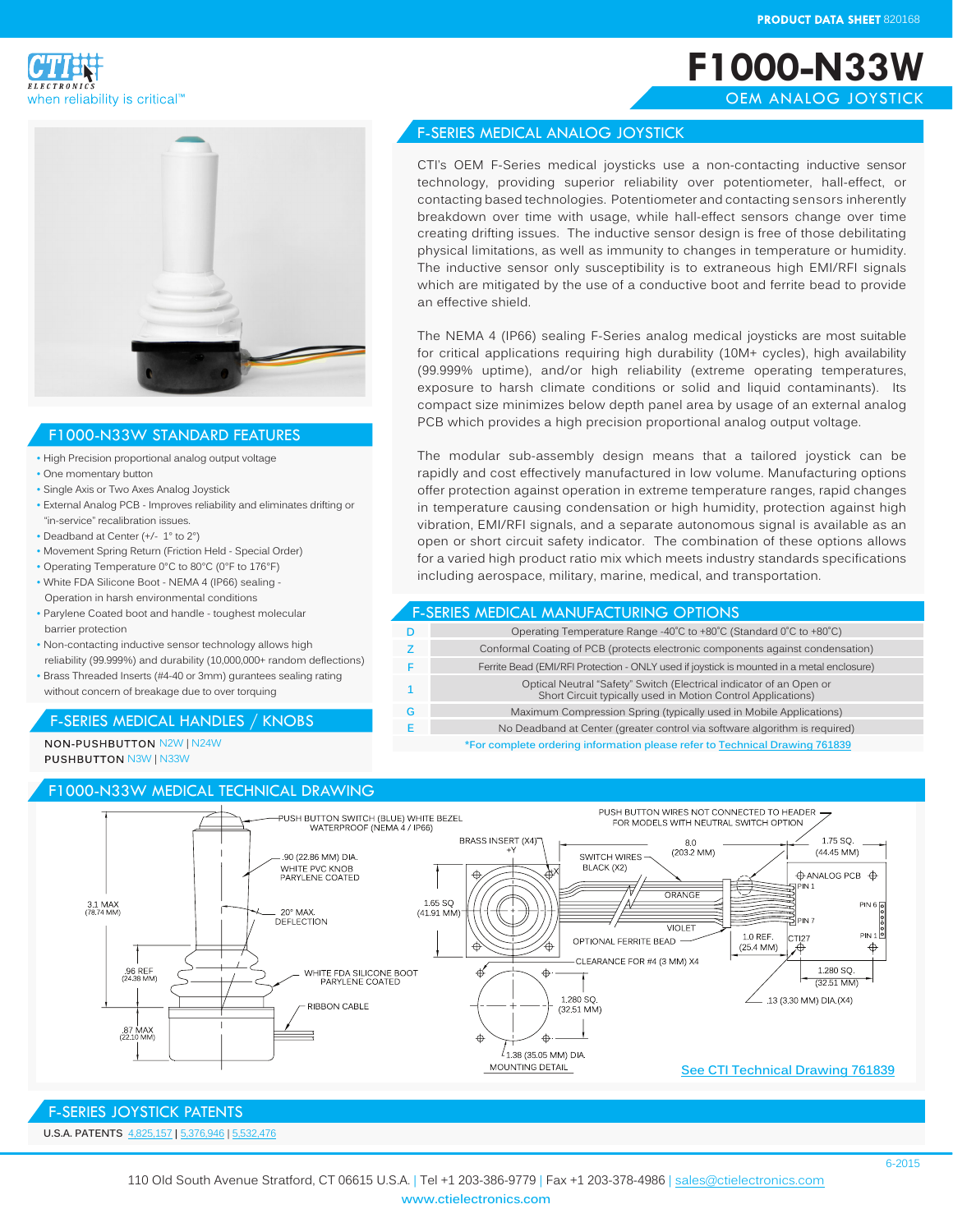**F1000-N33W**

OEM ANALOG JOYSTICK





# F1000-N33W STANDARD FEATURES

- High Precision proportional analog output voltage
- One momentary button
- Single Axis or Two Axes Analog Joystick
- External Analog PCB Improves reliability and eliminates drifting or "in-service" recalibration issues.
- Deadband at Center (+/- 1° to 2°)
- Movement Spring Return (Friction Held Special Order)
- Operating Temperature 0°C to 80°C (0°F to 176°F)
- White FDA Silicone Boot NEMA 4 (IP66) sealing Operation in harsh environmental conditions
- Parylene Coated boot and handle toughest molecular barrier protection
- Non-contacting inductive sensor technology allows high reliability (99.999%) and durability (10,000,000+ random deflections)
- Brass Threaded Inserts (#4-40 or 3mm) gurantees sealing rating without concern of breakage due to over torquing

## F-SERIES MEDICAL HANDLES / KNOBS

NON-PUSHBUTTON N2W | N24W **PUSHBUTTON N3W | N33W** 

### F1000-N33W MEDICAL TECHNICAL DRAWING

#### F-SERIES MEDICAL ANALOG JOYSTICK

CTI's OEM F-Series medical joysticks use a non-contacting inductive sensor technology, providing superior reliability over potentiometer, hall-effect, or contacting based technologies. Potentiometer and contacting sensors inherently breakdown over time with usage, while hall-effect sensors change over time creating drifting issues. The inductive sensor design is free of those debilitating physical limitations, as well as immunity to changes in temperature or humidity. The inductive sensor only susceptibility is to extraneous high EMI/RFI signals which are mitigated by the use of a conductive boot and ferrite bead to provide an effective shield.

The NEMA 4 (IP66) sealing F-Series analog medical joysticks are most suitable for critical applications requiring high durability (10M+ cycles), high availability (99.999% uptime), and/or high reliability (extreme operating temperatures, exposure to harsh climate conditions or solid and liquid contaminants). Its compact size minimizes below depth panel area by usage of an external analog PCB which provides a high precision proportional analog output voltage.

The modular sub-assembly design means that a tailored joystick can be rapidly and cost effectively manufactured in low volume. Manufacturing options offer protection against operation in extreme temperature ranges, rapid changes in temperature causing condensation or high humidity, protection against high vibration, EMI/RFI signals, and a separate autonomous signal is available as an open or short circuit safety indicator. The combination of these options allows for a varied high product ratio mix which meets industry standards specifications including aerospace, military, marine, medical, and transportation.

#### F-SERIES MEDICAL MANUFACTURING OPTIONS

|   | Operating Temperature Range -40°C to +80°C (Standard 0°C to +80°C)                                                                  |
|---|-------------------------------------------------------------------------------------------------------------------------------------|
|   | Conformal Coating of PCB (protects electronic components against condensation)                                                      |
|   | Ferrite Bead (EMI/RFI Protection - ONLY used if joystick is mounted in a metal enclosure)                                           |
|   | Optical Neutral "Safety" Switch (Electrical indicator of an Open or<br>Short Circuit typically used in Motion Control Applications) |
| G | Maximum Compression Spring (typically used in Mobile Applications)                                                                  |
|   | No Deadband at Center (greater control via software algorithm is required)                                                          |
|   | *For complete ordering information please refer to Technical Drawing 761839                                                         |

**\*For complete ordering information please refer to [Technical Drawing 7618](http://www.ctielectronics.com/pdf/761839-F1000-N33W-Medical-Joystick.pdf)39**



# F-SERIES JOYSTICK PATENTS

**U.S.A. PATENTS** [4,825,1](http://www.ctielectronics.com/pdf/4731530-Joystick-control-having-optical.pdf)57 **|** 5[,376,](http://www.ctielectronics.com/pdf/5376946-Computer-mouse-simulator-device.pdf)946 | [5,532,4](http://www.ctielectronics.com/pdf/5532476-Redundant-indicator-for-detecting-neutral-joystick-position.pdf)76